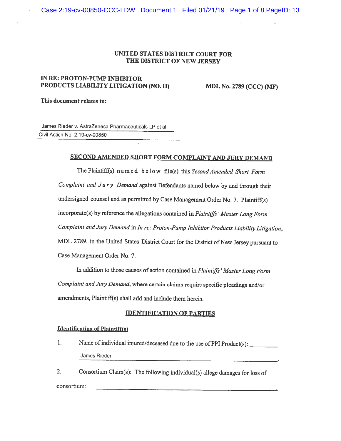### UNITED STATES DISTRICT COURT FOR THE DISTRICT OF NEW JERSEY

## IN RE: PROTON-PUMP INHIBITOR PRODUCTS LIABILITY LITIGATION (NO. II) MDL No. 2789 (CCC) (MF)

This document relates to:

James Rieder v. AstraZeneca Pharmaceuticals LP et al Civil Action No. 2:19-cv-00850

# SECOND AMENDED SHORT FORM COMPLAINT AND JURY DEMAND

The Plaintiff(s) named below file(s) this Second Amended Short Form Complaint and  $Jury$  Demand against Defendants named below by and through their undersigned counsel and as permitted by Case Management Order No. 7. Plaintiff(s) incorporate(s) by reference the allegations contained in Plaintiffs' Master Long Form Complaint and Jury Demand in In re: Proton-Pump Inhibitor Products Liability Litigation, MDL 2789, in the United States District Court for the District of New Jersey pursuant to Case Management Order No. 7.

In addition to those causes of action contained in Plaintiffs' Master Long Form Complaint and Jury Demand, where certain claims require specific pleadings and/or amendments, Plaintiff(s) shall add and include them herein.

#### IDENTIFICATION OF PARTIES

#### Identification of Plaintiff(s)

1. Name of individual injured/deceased due to the use of PPI Product(s): James Rieder

2. Consortium Claim(s): The following individual(s) allege damages for loss of consortium: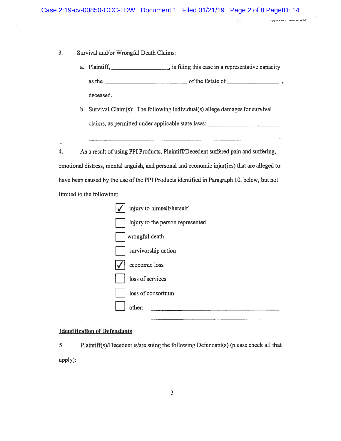- 3. Survival and/or Wrongful Death Claims:
	- a. Plaintiff, \_\_\_\_\_\_\_\_\_\_\_\_\_\_\_\_\_\_\_\_\_\_\_, is filing this case in a representative capacity as the  $\Box$ deceased.
	- b. Survival Claim(s): The following individual(s) allege damages for survival claims, as permitted under applicable state laws:

4. As <sup>a</sup> result of using PPI Products, Plaintiff/Decedent suffered pain and suffering, emotional distress, mental anguish, and personal and economic injur(ies) that are alleged to have been caused by the use of the PPI Products identified in Paragraph 10, below, but not limited to the following:



5. Plaintiff(s)/Decedent is/are suing the following Defendant(s) (please check all that apply):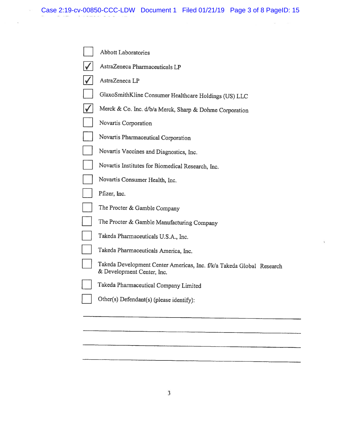$\mathcal{C}^{(1)}_{\mathbf{k}}$ 

| <b>Abbott Laboratories</b>                                                                          |
|-----------------------------------------------------------------------------------------------------|
| AstraZeneca Pharmaceuticals LP                                                                      |
| AstraZeneca LP                                                                                      |
| GlaxoSmithKline Consumer Healthcare Holdings (US) LLC                                               |
| Merck & Co. Inc. d/b/a Merck, Sharp & Dohme Corporation                                             |
| Novartis Corporation                                                                                |
| Novartis Pharmaceutical Corporation                                                                 |
| Novartis Vaccines and Diagnostics, Inc.                                                             |
| Novartis Institutes for Biomedical Research, Inc.                                                   |
| Novartis Consumer Health, Inc.                                                                      |
| Pfizer, Inc.                                                                                        |
| The Procter & Gamble Company                                                                        |
| The Procter & Gamble Manufacturing Company                                                          |
| Takeda Pharmaceuticals U.S.A., Inc.                                                                 |
| Takeda Pharmaceuticals America, Inc.                                                                |
| Takeda Development Center Americas, Inc. f/k/a Takeda Global Research<br>& Development Center, Inc. |
| Takeda Pharmaceutical Company Limited                                                               |
| Other(s) Defendant(s) (please identify):                                                            |
|                                                                                                     |
|                                                                                                     |
|                                                                                                     |

 $\overline{\mathcal{A}}$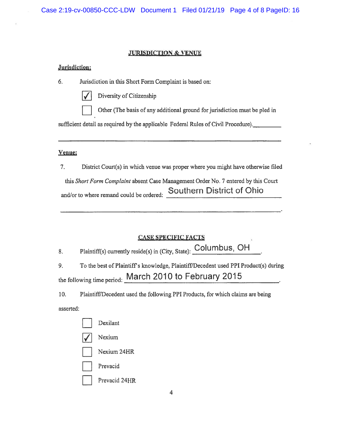### JURISDICTION & VENUE

#### Jurisdiction:

- 6. Jurisdiction in this Short Form Complaint is based on:
	-

Diversity of Citizenship

Other (The basis of any additional ground for jurisdiction must be pled in

sufficient detail as required by the applicable Federal Rules of Civil Procedure).

#### Venue:

7. District Court(s) in which venue was proper where you might have otherwise filed

this Short Form Complaint absent Case Management Order No. 7 entered by this Court and/or to where remand could be ordered: Southern District of Ohio

# **CASE SPECIFIC FAC**

|  |  |  | Plaintiff(s) currently reside(s) in (City, State): Columbus, OH |  |
|--|--|--|-----------------------------------------------------------------|--|
|  |  |  |                                                                 |  |

9. To the best of Plaintiff's knowledge, Plaintiff/Decedent used PPI Product(s) during the following time period: March 2010 to February 2015

10. Plaintiff/Decedent used the following PPI Products, for which claims are being

asserted:

| Dexilant    |
|-------------|
| Nexium      |
| Nexium 24HR |

Prevacid

Prevacid 24HR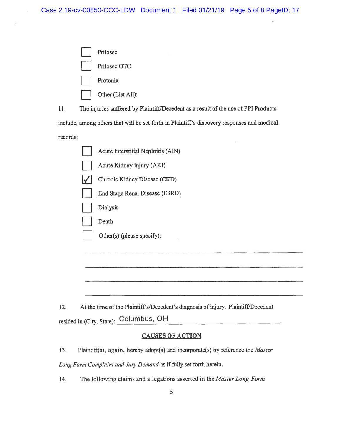| Prilosec          |
|-------------------|
| Prilosec OTC      |
| Protonix          |
| Other (List All): |

11. The injuries suffered by Plaintiff/Decedent as a result of the use of PPI Products

include, among others that will be set forth in Plaintiff's discovery responses and medical

records:

| Acute Interstitial Nephritis (AIN) |
|------------------------------------|
| Acute Kidney Injury (AKI)          |
| Chronic Kidney Disease (CKD)       |
| End Stage Renal Disease (ESRD)     |
| Dialysis                           |
| Death                              |
| Other(s) (please specify):<br>Ü.   |
|                                    |
|                                    |

12. At the time of the Plaintiff's/Decedent's diagnosis of injury, Plaintiff/Decedent resided in (City, State): Columbus, OH

# CAUSES OF ACTION

13. Plaintiff(s), again, hereby adopt(s) and incorporate(s) by reference the *Master* Long Form Complaint and Jury Demand as if fully set forth herein.

14. The following claims and allegations asserted in the Master Long Form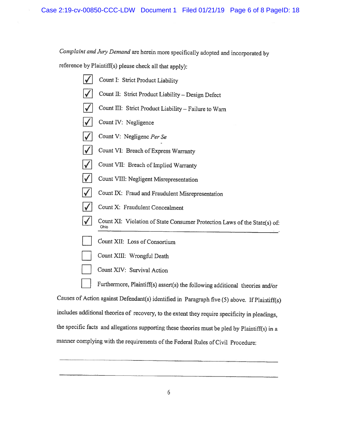Complaint and Jury Demand are herein more specifically adopted and incorporated by

reference by Plaintiff(s) <sup>p</sup>lease check all that apply):

ó.

|             | Count I: Strict Product Liability                                                 |  |  |
|-------------|-----------------------------------------------------------------------------------|--|--|
|             | Count II: Strict Product Liability - Design Defect                                |  |  |
|             | Count III: Strict Product Liability - Failure to Warn                             |  |  |
|             | Count IV: Negligence                                                              |  |  |
|             | Count V: Negligenc Per Se                                                         |  |  |
|             | Count VI: Breach of Express Warranty                                              |  |  |
|             | Count VII: Breach of Implied Warranty                                             |  |  |
|             | Count VIII: Negligent Misrepresentation                                           |  |  |
|             | Count IX: Fraud and Fraudulent Misrepresentation                                  |  |  |
|             | Count X: Fraudulent Concealment                                                   |  |  |
|             | Count XI: Violation of State Consumer Protection Laws of the State(s) of:<br>Ohio |  |  |
|             | Count XII: Loss of Consortium                                                     |  |  |
|             | Count XIII: Wrongful Death                                                        |  |  |
|             | Count XIV: Survival Action                                                        |  |  |
|             | Furthermore, Plaintiff(s) assert(s) the following additional theories and/or      |  |  |
| $x$ $x$ $x$ |                                                                                   |  |  |

Causes of Action against Defendant(s) identified in Paragraph five (5) above. If Plaintiff(s) includes additional theories of recovery, to the extent they require specificity in <sup>p</sup>leadings, the specific facts and allegations supporting these theories must be <sup>p</sup>led by Plaintiff(s) in <sup>a</sup> manner complying with the requirements of the Federal Rules of Civil Procedure: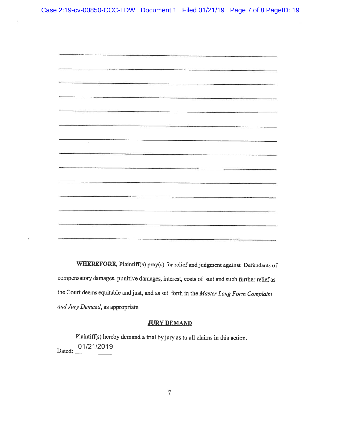ý.



WHEREFORE, Plaintiff(s) pray(s) for relief and judgment against Defendants of compensatory damages, punitive damages, interest, costs of suit and such further relief as the Court deems equitable and just, and as set forth in the Master Long form Complaint and Jury Demand, as appropriate.

## **JURY DEMAND**

Plaintiff(s) hereby demand <sup>a</sup> trial by jury as to all claims in this action. Dated: 01/21/2019